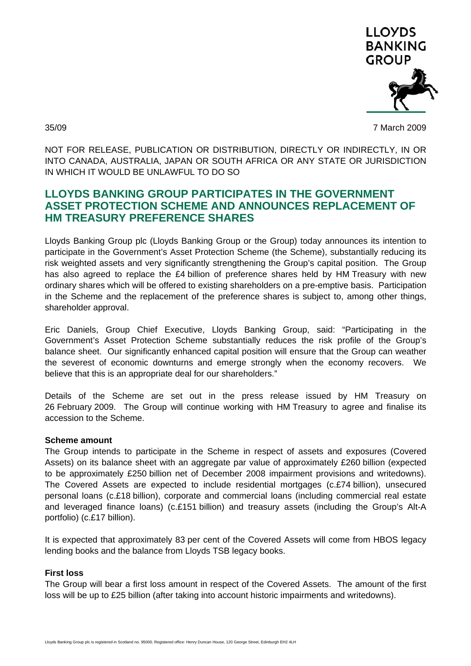

35/09 7 March 2009

NOT FOR RELEASE, PUBLICATION OR DISTRIBUTION, DIRECTLY OR INDIRECTLY, IN OR INTO CANADA, AUSTRALIA, JAPAN OR SOUTH AFRICA OR ANY STATE OR JURISDICTION IN WHICH IT WOULD BE UNLAWFUL TO DO SO

# **LLOYDS BANKING GROUP PARTICIPATES IN THE GOVERNMENT ASSET PROTECTION SCHEME AND ANNOUNCES REPLACEMENT OF HM TREASURY PREFERENCE SHARES**

Lloyds Banking Group plc (Lloyds Banking Group or the Group) today announces its intention to participate in the Government's Asset Protection Scheme (the Scheme), substantially reducing its risk weighted assets and very significantly strengthening the Group's capital position. The Group has also agreed to replace the £4 billion of preference shares held by HM Treasury with new ordinary shares which will be offered to existing shareholders on a pre-emptive basis. Participation in the Scheme and the replacement of the preference shares is subject to, among other things, shareholder approval.

Eric Daniels, Group Chief Executive, Lloyds Banking Group, said: "Participating in the Government's Asset Protection Scheme substantially reduces the risk profile of the Group's balance sheet. Our significantly enhanced capital position will ensure that the Group can weather the severest of economic downturns and emerge strongly when the economy recovers. We believe that this is an appropriate deal for our shareholders."

Details of the Scheme are set out in the press release issued by HM Treasury on 26 February 2009. The Group will continue working with HM Treasury to agree and finalise its accession to the Scheme.

# **Scheme amount**

The Group intends to participate in the Scheme in respect of assets and exposures (Covered Assets) on its balance sheet with an aggregate par value of approximately £260 billion (expected to be approximately £250 billion net of December 2008 impairment provisions and writedowns). The Covered Assets are expected to include residential mortgages (c.£74 billion), unsecured personal loans (c.£18 billion), corporate and commercial loans (including commercial real estate and leveraged finance loans) (c.£151 billion) and treasury assets (including the Group's Alt-A portfolio) (c.£17 billion).

It is expected that approximately 83 per cent of the Covered Assets will come from HBOS legacy lending books and the balance from Lloyds TSB legacy books.

# **First loss**

The Group will bear a first loss amount in respect of the Covered Assets. The amount of the first loss will be up to £25 billion (after taking into account historic impairments and writedowns).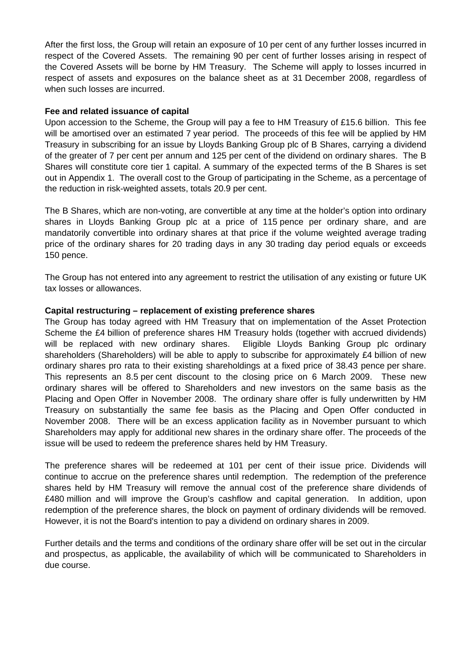After the first loss, the Group will retain an exposure of 10 per cent of any further losses incurred in respect of the Covered Assets. The remaining 90 per cent of further losses arising in respect of the Covered Assets will be borne by HM Treasury. The Scheme will apply to losses incurred in respect of assets and exposures on the balance sheet as at 31 December 2008, regardless of when such losses are incurred.

#### **Fee and related issuance of capital**

Upon accession to the Scheme, the Group will pay a fee to HM Treasury of £15.6 billion. This fee will be amortised over an estimated 7 year period. The proceeds of this fee will be applied by HM Treasury in subscribing for an issue by Lloyds Banking Group plc of B Shares, carrying a dividend of the greater of 7 per cent per annum and 125 per cent of the dividend on ordinary shares. The B Shares will constitute core tier 1 capital. A summary of the expected terms of the B Shares is set out in Appendix 1. The overall cost to the Group of participating in the Scheme, as a percentage of the reduction in risk-weighted assets, totals 20.9 per cent.

The B Shares, which are non-voting, are convertible at any time at the holder's option into ordinary shares in Lloyds Banking Group plc at a price of 115 pence per ordinary share, and are mandatorily convertible into ordinary shares at that price if the volume weighted average trading price of the ordinary shares for 20 trading days in any 30 trading day period equals or exceeds 150 pence.

The Group has not entered into any agreement to restrict the utilisation of any existing or future UK tax losses or allowances.

# **Capital restructuring – replacement of existing preference shares**

The Group has today agreed with HM Treasury that on implementation of the Asset Protection Scheme the £4 billion of preference shares HM Treasury holds (together with accrued dividends) will be replaced with new ordinary shares. Eligible Lloyds Banking Group plc ordinary shareholders (Shareholders) will be able to apply to subscribe for approximately £4 billion of new ordinary shares pro rata to their existing shareholdings at a fixed price of 38.43 pence per share. This represents an 8.5 per cent discount to the closing price on 6 March 2009. These new ordinary shares will be offered to Shareholders and new investors on the same basis as the Placing and Open Offer in November 2008. The ordinary share offer is fully underwritten by HM Treasury on substantially the same fee basis as the Placing and Open Offer conducted in November 2008. There will be an excess application facility as in November pursuant to which Shareholders may apply for additional new shares in the ordinary share offer. The proceeds of the issue will be used to redeem the preference shares held by HM Treasury.

The preference shares will be redeemed at 101 per cent of their issue price. Dividends will continue to accrue on the preference shares until redemption. The redemption of the preference shares held by HM Treasury will remove the annual cost of the preference share dividends of £480 million and will improve the Group's cashflow and capital generation. In addition, upon redemption of the preference shares, the block on payment of ordinary dividends will be removed. However, it is not the Board's intention to pay a dividend on ordinary shares in 2009.

Further details and the terms and conditions of the ordinary share offer will be set out in the circular and prospectus, as applicable, the availability of which will be communicated to Shareholders in due course.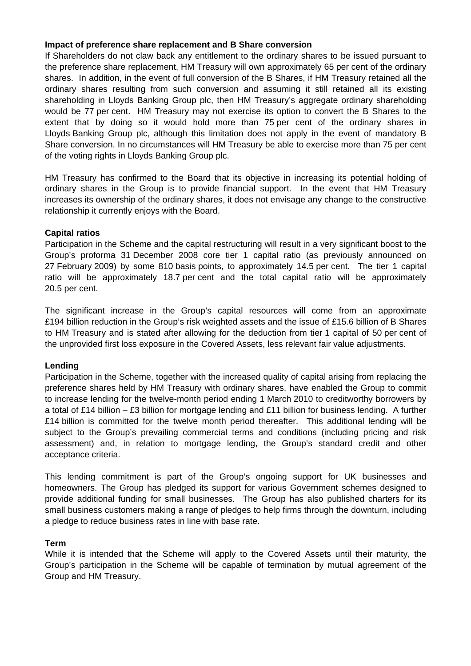#### **Impact of preference share replacement and B Share conversion**

If Shareholders do not claw back any entitlement to the ordinary shares to be issued pursuant to the preference share replacement, HM Treasury will own approximately 65 per cent of the ordinary shares. In addition, in the event of full conversion of the B Shares, if HM Treasury retained all the ordinary shares resulting from such conversion and assuming it still retained all its existing shareholding in Lloyds Banking Group plc, then HM Treasury's aggregate ordinary shareholding would be 77 per cent. HM Treasury may not exercise its option to convert the B Shares to the extent that by doing so it would hold more than 75 per cent of the ordinary shares in Lloyds Banking Group plc, although this limitation does not apply in the event of mandatory B Share conversion. In no circumstances will HM Treasury be able to exercise more than 75 per cent of the voting rights in Lloyds Banking Group plc.

HM Treasury has confirmed to the Board that its objective in increasing its potential holding of ordinary shares in the Group is to provide financial support. In the event that HM Treasury increases its ownership of the ordinary shares, it does not envisage any change to the constructive relationship it currently enjoys with the Board.

# **Capital ratios**

Participation in the Scheme and the capital restructuring will result in a very significant boost to the Group's proforma 31 December 2008 core tier 1 capital ratio (as previously announced on 27 February 2009) by some 810 basis points, to approximately 14.5 per cent. The tier 1 capital ratio will be approximately 18.7 per cent and the total capital ratio will be approximately 20.5 per cent.

The significant increase in the Group's capital resources will come from an approximate £194 billion reduction in the Group's risk weighted assets and the issue of £15.6 billion of B Shares to HM Treasury and is stated after allowing for the deduction from tier 1 capital of 50 per cent of the unprovided first loss exposure in the Covered Assets, less relevant fair value adjustments.

# **Lending**

Participation in the Scheme, together with the increased quality of capital arising from replacing the preference shares held by HM Treasury with ordinary shares, have enabled the Group to commit to increase lending for the twelve-month period ending 1 March 2010 to creditworthy borrowers by a total of £14 billion – £3 billion for mortgage lending and £11 billion for business lending. A further £14 billion is committed for the twelve month period thereafter. This additional lending will be subject to the Group's prevailing commercial terms and conditions (including pricing and risk assessment) and, in relation to mortgage lending, the Group's standard credit and other acceptance criteria.

This lending commitment is part of the Group's ongoing support for UK businesses and homeowners. The Group has pledged its support for various Government schemes designed to provide additional funding for small businesses. The Group has also published charters for its small business customers making a range of pledges to help firms through the downturn, including a pledge to reduce business rates in line with base rate.

# **Term**

While it is intended that the Scheme will apply to the Covered Assets until their maturity, the Group's participation in the Scheme will be capable of termination by mutual agreement of the Group and HM Treasury.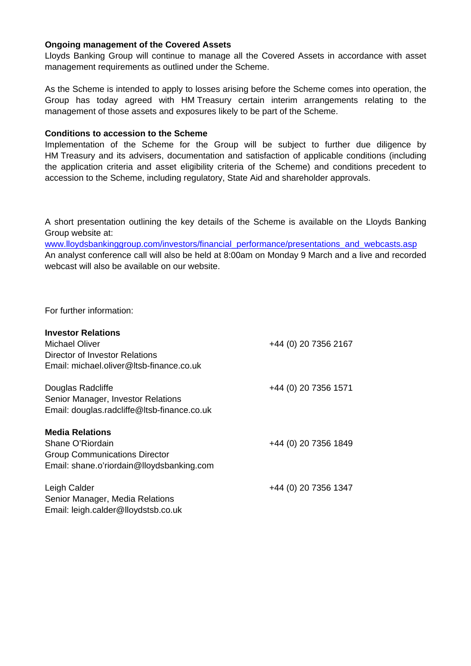#### **Ongoing management of the Covered Assets**

Lloyds Banking Group will continue to manage all the Covered Assets in accordance with asset management requirements as outlined under the Scheme.

As the Scheme is intended to apply to losses arising before the Scheme comes into operation, the Group has today agreed with HM Treasury certain interim arrangements relating to the management of those assets and exposures likely to be part of the Scheme.

#### **Conditions to accession to the Scheme**

Implementation of the Scheme for the Group will be subject to further due diligence by HM Treasury and its advisers, documentation and satisfaction of applicable conditions (including the application criteria and asset eligibility criteria of the Scheme) and conditions precedent to accession to the Scheme, including regulatory, State Aid and shareholder approvals.

A short presentation outlining the key details of the Scheme is available on the Lloyds Banking Group website at:

[www.lloydsbankinggroup.com/investors/financial\\_performance/presentations\\_and\\_webcasts.asp](http://www.lloydsbankinggroup.com/investors/financial_performance/presentations_and_webcasts.asp) An analyst conference call will also be held at 8:00am on Monday 9 March and a live and recorded webcast will also be available on our website.

For further information:

| <b>Investor Relations</b>                   |                      |
|---------------------------------------------|----------------------|
| <b>Michael Oliver</b>                       | +44 (0) 20 7356 2167 |
| Director of Investor Relations              |                      |
| Email: michael.oliver@Itsb-finance.co.uk    |                      |
| Douglas Radcliffe                           | +44 (0) 20 7356 1571 |
| Senior Manager, Investor Relations          |                      |
| Email: douglas.radcliffe@ltsb-finance.co.uk |                      |
| <b>Media Relations</b>                      |                      |
| Shane O'Riordain                            | +44 (0) 20 7356 1849 |
| <b>Group Communications Director</b>        |                      |
| Email: shane.o'riordain@lloydsbanking.com   |                      |
| Leigh Calder                                | +44 (0) 20 7356 1347 |
| Senior Manager, Media Relations             |                      |
| Email: leigh.calder@lloydstsb.co.uk         |                      |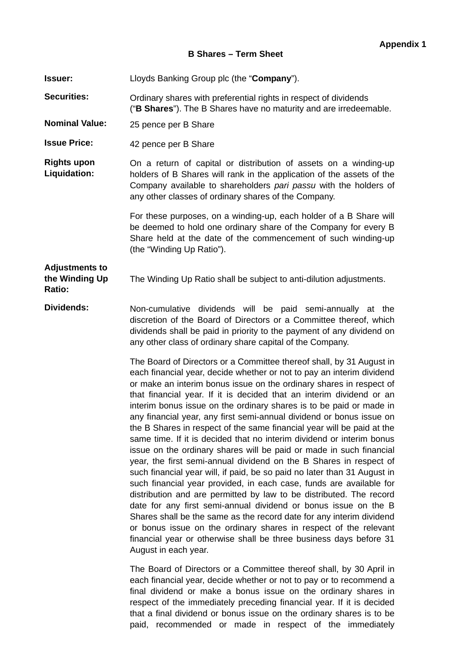#### **B Shares – Term Sheet**

**Issuer:** Lloyds Banking Group plc (the "**Company**").

**Securities:** Ordinary shares with preferential rights in respect of dividends ("**B Shares**"). The B Shares have no maturity and are irredeemable.

**Nominal Value:** 25 pence per B Share

**Issue Price:** 42 pence per B Share

**Rights upon Liquidation:** On a return of capital or distribution of assets on a winding-up holders of B Shares will rank in the application of the assets of the Company available to shareholders *pari passu* with the holders of any other classes of ordinary shares of the Company.

> For these purposes, on a winding-up, each holder of a B Share will be deemed to hold one ordinary share of the Company for every B Share held at the date of the commencement of such winding-up (the "Winding Up Ratio").

#### **Adjustments to the Winding Up Ratio:**  The Winding Up Ratio shall be subject to anti-dilution adjustments.

**Dividends:** Non-cumulative dividends will be paid semi-annually at the discretion of the Board of Directors or a Committee thereof, which dividends shall be paid in priority to the payment of any dividend on any other class of ordinary share capital of the Company.

> The Board of Directors or a Committee thereof shall, by 31 August in each financial year, decide whether or not to pay an interim dividend or make an interim bonus issue on the ordinary shares in respect of that financial year. If it is decided that an interim dividend or an interim bonus issue on the ordinary shares is to be paid or made in any financial year, any first semi-annual dividend or bonus issue on the B Shares in respect of the same financial year will be paid at the same time. If it is decided that no interim dividend or interim bonus issue on the ordinary shares will be paid or made in such financial year, the first semi-annual dividend on the B Shares in respect of such financial year will, if paid, be so paid no later than 31 August in such financial year provided, in each case, funds are available for distribution and are permitted by law to be distributed. The record date for any first semi-annual dividend or bonus issue on the B Shares shall be the same as the record date for any interim dividend or bonus issue on the ordinary shares in respect of the relevant financial year or otherwise shall be three business days before 31 August in each year.

> The Board of Directors or a Committee thereof shall, by 30 April in each financial year, decide whether or not to pay or to recommend a final dividend or make a bonus issue on the ordinary shares in respect of the immediately preceding financial year. If it is decided that a final dividend or bonus issue on the ordinary shares is to be paid, recommended or made in respect of the immediately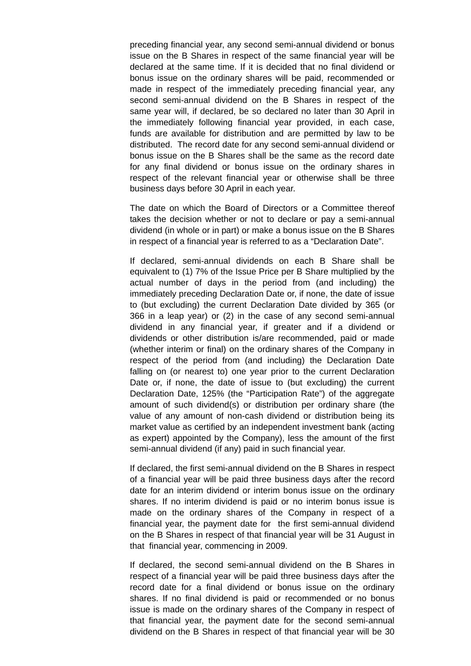preceding financial year, any second semi-annual dividend or bonus issue on the B Shares in respect of the same financial year will be declared at the same time. If it is decided that no final dividend or bonus issue on the ordinary shares will be paid, recommended or made in respect of the immediately preceding financial year, any second semi-annual dividend on the B Shares in respect of the same year will, if declared, be so declared no later than 30 April in the immediately following financial year provided, in each case, funds are available for distribution and are permitted by law to be distributed. The record date for any second semi-annual dividend or bonus issue on the B Shares shall be the same as the record date for any final dividend or bonus issue on the ordinary shares in respect of the relevant financial year or otherwise shall be three business days before 30 April in each year.

The date on which the Board of Directors or a Committee thereof takes the decision whether or not to declare or pay a semi-annual dividend (in whole or in part) or make a bonus issue on the B Shares in respect of a financial year is referred to as a "Declaration Date".

If declared, semi-annual dividends on each B Share shall be equivalent to (1) 7% of the Issue Price per B Share multiplied by the actual number of days in the period from (and including) the immediately preceding Declaration Date or, if none, the date of issue to (but excluding) the current Declaration Date divided by 365 (or 366 in a leap year) or (2) in the case of any second semi-annual dividend in any financial year, if greater and if a dividend or dividends or other distribution is/are recommended, paid or made (whether interim or final) on the ordinary shares of the Company in respect of the period from (and including) the Declaration Date falling on (or nearest to) one year prior to the current Declaration Date or, if none, the date of issue to (but excluding) the current Declaration Date, 125% (the "Participation Rate") of the aggregate amount of such dividend(s) or distribution per ordinary share (the value of any amount of non-cash dividend or distribution being its market value as certified by an independent investment bank (acting as expert) appointed by the Company), less the amount of the first semi-annual dividend (if any) paid in such financial year.

If declared, the first semi-annual dividend on the B Shares in respect of a financial year will be paid three business days after the record date for an interim dividend or interim bonus issue on the ordinary shares. If no interim dividend is paid or no interim bonus issue is made on the ordinary shares of the Company in respect of a financial year, the payment date for the first semi-annual dividend on the B Shares in respect of that financial year will be 31 August in that financial year, commencing in 2009.

If declared, the second semi-annual dividend on the B Shares in respect of a financial year will be paid three business days after the record date for a final dividend or bonus issue on the ordinary shares. If no final dividend is paid or recommended or no bonus issue is made on the ordinary shares of the Company in respect of that financial year, the payment date for the second semi-annual dividend on the B Shares in respect of that financial year will be 30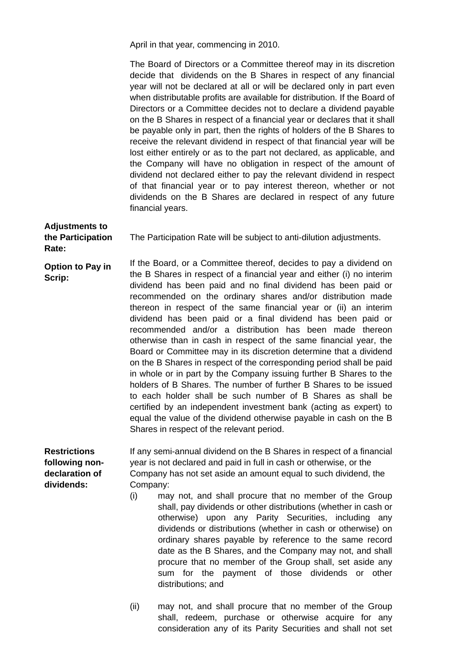April in that year, commencing in 2010.

The Board of Directors or a Committee thereof may in its discretion decide that dividends on the B Shares in respect of any financial year will not be declared at all or will be declared only in part even when distributable profits are available for distribution. If the Board of Directors or a Committee decides not to declare a dividend payable on the B Shares in respect of a financial year or declares that it shall be payable only in part, then the rights of holders of the B Shares to receive the relevant dividend in respect of that financial year will be lost either entirely or as to the part not declared, as applicable, and the Company will have no obligation in respect of the amount of dividend not declared either to pay the relevant dividend in respect of that financial year or to pay interest thereon, whether or not dividends on the B Shares are declared in respect of any future financial years.

**the Participation Rate:**  The Participation Rate will be subject to anti-dilution adjustments.

**Option to Pay in Scrip:**  If the Board, or a Committee thereof, decides to pay a dividend on the B Shares in respect of a financial year and either (i) no interim dividend has been paid and no final dividend has been paid or recommended on the ordinary shares and/or distribution made thereon in respect of the same financial year or (ii) an interim dividend has been paid or a final dividend has been paid or recommended and/or a distribution has been made thereon otherwise than in cash in respect of the same financial year, the Board or Committee may in its discretion determine that a dividend on the B Shares in respect of the corresponding period shall be paid in whole or in part by the Company issuing further B Shares to the holders of B Shares. The number of further B Shares to be issued to each holder shall be such number of B Shares as shall be certified by an independent investment bank (acting as expert) to equal the value of the dividend otherwise payable in cash on the B Shares in respect of the relevant period.

**Restrictions following nondeclaration of dividends:** 

**Adjustments to** 

If any semi-annual dividend on the B Shares in respect of a financial year is not declared and paid in full in cash or otherwise, or the Company has not set aside an amount equal to such dividend, the Company:

- (i) may not, and shall procure that no member of the Group shall, pay dividends or other distributions (whether in cash or otherwise) upon any Parity Securities, including any dividends or distributions (whether in cash or otherwise) on ordinary shares payable by reference to the same record date as the B Shares, and the Company may not, and shall procure that no member of the Group shall, set aside any sum for the payment of those dividends or other distributions; and
- (ii) may not, and shall procure that no member of the Group shall, redeem, purchase or otherwise acquire for any consideration any of its Parity Securities and shall not set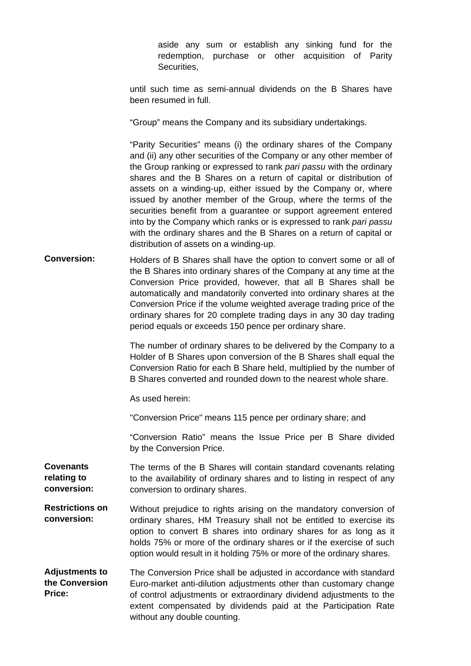aside any sum or establish any sinking fund for the redemption, purchase or other acquisition of Parity **Securities** 

until such time as semi-annual dividends on the B Shares have been resumed in full.

"Group" means the Company and its subsidiary undertakings.

"Parity Securities" means (i) the ordinary shares of the Company and (ii) any other securities of the Company or any other member of the Group ranking or expressed to rank *pari passu* with the ordinary shares and the B Shares on a return of capital or distribution of assets on a winding-up, either issued by the Company or, where issued by another member of the Group, where the terms of the securities benefit from a guarantee or support agreement entered into by the Company which ranks or is expressed to rank *pari passu*  with the ordinary shares and the B Shares on a return of capital or distribution of assets on a winding-up.

**Conversion:** Holders of B Shares shall have the option to convert some or all of the B Shares into ordinary shares of the Company at any time at the Conversion Price provided, however, that all B Shares shall be automatically and mandatorily converted into ordinary shares at the Conversion Price if the volume weighted average trading price of the ordinary shares for 20 complete trading days in any 30 day trading period equals or exceeds 150 pence per ordinary share.

> The number of ordinary shares to be delivered by the Company to a Holder of B Shares upon conversion of the B Shares shall equal the Conversion Ratio for each B Share held, multiplied by the number of B Shares converted and rounded down to the nearest whole share.

As used herein:

"Conversion Price" means 115 pence per ordinary share; and

"Conversion Ratio" means the Issue Price per B Share divided by the Conversion Price.

**Covenants relating to conversion:**  The terms of the B Shares will contain standard covenants relating to the availability of ordinary shares and to listing in respect of any conversion to ordinary shares.

**Restrictions on conversion:**  Without prejudice to rights arising on the mandatory conversion of ordinary shares, HM Treasury shall not be entitled to exercise its option to convert B shares into ordinary shares for as long as it holds 75% or more of the ordinary shares or if the exercise of such option would result in it holding 75% or more of the ordinary shares.

**Adjustments to the Conversion Price:**  The Conversion Price shall be adjusted in accordance with standard Euro-market anti-dilution adjustments other than customary change of control adjustments or extraordinary dividend adjustments to the extent compensated by dividends paid at the Participation Rate without any double counting.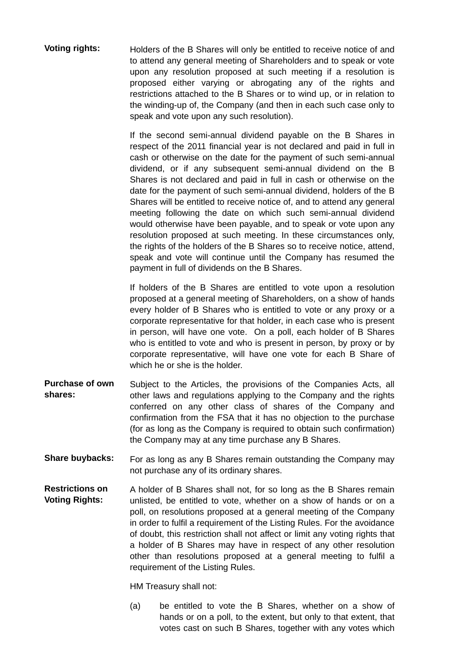**Voting rights:** Holders of the B Shares will only be entitled to receive notice of and to attend any general meeting of Shareholders and to speak or vote upon any resolution proposed at such meeting if a resolution is proposed either varying or abrogating any of the rights and restrictions attached to the B Shares or to wind up, or in relation to the winding-up of, the Company (and then in each such case only to speak and vote upon any such resolution).

> If the second semi-annual dividend payable on the B Shares in respect of the 2011 financial year is not declared and paid in full in cash or otherwise on the date for the payment of such semi-annual dividend, or if any subsequent semi-annual dividend on the B Shares is not declared and paid in full in cash or otherwise on the date for the payment of such semi-annual dividend, holders of the B Shares will be entitled to receive notice of, and to attend any general meeting following the date on which such semi-annual dividend would otherwise have been payable, and to speak or vote upon any resolution proposed at such meeting. In these circumstances only, the rights of the holders of the B Shares so to receive notice, attend, speak and vote will continue until the Company has resumed the payment in full of dividends on the B Shares.

> If holders of the B Shares are entitled to vote upon a resolution proposed at a general meeting of Shareholders, on a show of hands every holder of B Shares who is entitled to vote or any proxy or a corporate representative for that holder, in each case who is present in person, will have one vote. On a poll, each holder of B Shares who is entitled to vote and who is present in person, by proxy or by corporate representative, will have one vote for each B Share of which he or she is the holder.

- **Purchase of own shares:**  Subject to the Articles, the provisions of the Companies Acts, all other laws and regulations applying to the Company and the rights conferred on any other class of shares of the Company and confirmation from the FSA that it has no objection to the purchase (for as long as the Company is required to obtain such confirmation) the Company may at any time purchase any B Shares.
- **Share buybacks:** For as long as any B Shares remain outstanding the Company may not purchase any of its ordinary shares.
- **Restrictions on Voting Rights:**  A holder of B Shares shall not, for so long as the B Shares remain unlisted, be entitled to vote, whether on a show of hands or on a poll, on resolutions proposed at a general meeting of the Company in order to fulfil a requirement of the Listing Rules. For the avoidance of doubt, this restriction shall not affect or limit any voting rights that a holder of B Shares may have in respect of any other resolution other than resolutions proposed at a general meeting to fulfil a requirement of the Listing Rules.

HM Treasury shall not:

(a) be entitled to vote the B Shares, whether on a show of hands or on a poll, to the extent, but only to that extent, that votes cast on such B Shares, together with any votes which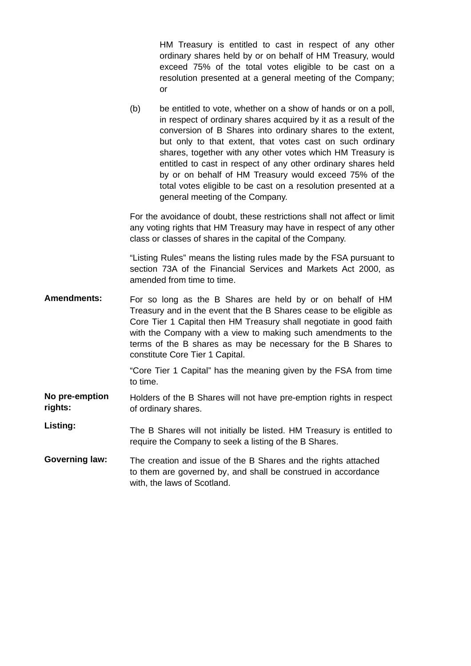HM Treasury is entitled to cast in respect of any other ordinary shares held by or on behalf of HM Treasury, would exceed 75% of the total votes eligible to be cast on a resolution presented at a general meeting of the Company; or

(b) be entitled to vote, whether on a show of hands or on a poll, in respect of ordinary shares acquired by it as a result of the conversion of B Shares into ordinary shares to the extent, but only to that extent, that votes cast on such ordinary shares, together with any other votes which HM Treasury is entitled to cast in respect of any other ordinary shares held by or on behalf of HM Treasury would exceed 75% of the total votes eligible to be cast on a resolution presented at a general meeting of the Company.

For the avoidance of doubt, these restrictions shall not affect or limit any voting rights that HM Treasury may have in respect of any other class or classes of shares in the capital of the Company.

"Listing Rules" means the listing rules made by the FSA pursuant to section 73A of the Financial Services and Markets Act 2000, as amended from time to time.

**Amendments:** For so long as the B Shares are held by or on behalf of HM Treasury and in the event that the B Shares cease to be eligible as Core Tier 1 Capital then HM Treasury shall negotiate in good faith with the Company with a view to making such amendments to the terms of the B shares as may be necessary for the B Shares to constitute Core Tier 1 Capital.

> "Core Tier 1 Capital" has the meaning given by the FSA from time to time.

- **No pre-emption rights:**  Holders of the B Shares will not have pre-emption rights in respect of ordinary shares.
- **Listing:** The B Shares will not initially be listed. HM Treasury is entitled to require the Company to seek a listing of the B Shares.
- **Governing law:** The creation and issue of the B Shares and the rights attached to them are governed by, and shall be construed in accordance with, the laws of Scotland.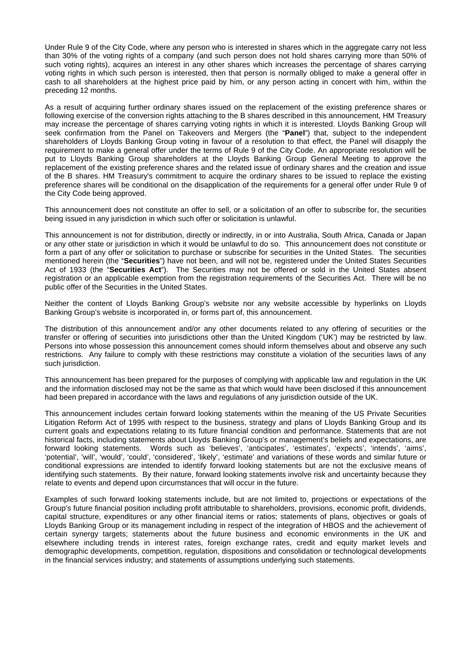Under Rule 9 of the City Code, where any person who is interested in shares which in the aggregate carry not less than 30% of the voting rights of a company (and such person does not hold shares carrying more than 50% of such voting rights), acquires an interest in any other shares which increases the percentage of shares carrying voting rights in which such person is interested, then that person is normally obliged to make a general offer in cash to all shareholders at the highest price paid by him, or any person acting in concert with him, within the preceding 12 months.

As a result of acquiring further ordinary shares issued on the replacement of the existing preference shares or following exercise of the conversion rights attaching to the B shares described in this announcement, HM Treasury may increase the percentage of shares carrying voting rights in which it is interested. Lloyds Banking Group will seek confirmation from the Panel on Takeovers and Mergers (the "**Panel**") that, subject to the independent shareholders of Lloyds Banking Group voting in favour of a resolution to that effect, the Panel will disapply the requirement to make a general offer under the terms of Rule 9 of the City Code. An appropriate resolution will be put to Lloyds Banking Group shareholders at the Lloyds Banking Group General Meeting to approve the replacement of the existing preference shares and the related issue of ordinary shares and the creation and issue of the B shares. HM Treasury's commitment to acquire the ordinary shares to be issued to replace the existing preference shares will be conditional on the disapplication of the requirements for a general offer under Rule 9 of the City Code being approved.

This announcement does not constitute an offer to sell, or a solicitation of an offer to subscribe for, the securities being issued in any jurisdiction in which such offer or solicitation is unlawful.

This announcement is not for distribution, directly or indirectly, in or into Australia, South Africa, Canada or Japan or any other state or jurisdiction in which it would be unlawful to do so. This announcement does not constitute or form a part of any offer or solicitation to purchase or subscribe for securities in the United States. The securities mentioned herein (the "**Securities**") have not been, and will not be, registered under the United States Securities Act of 1933 (the "**Securities Act**"). The Securities may not be offered or sold in the United States absent registration or an applicable exemption from the registration requirements of the Securities Act. There will be no public offer of the Securities in the United States.

Neither the content of Lloyds Banking Group's website nor any website accessible by hyperlinks on Lloyds Banking Group's website is incorporated in, or forms part of, this announcement.

The distribution of this announcement and/or any other documents related to any offering of securities or the transfer or offering of securities into jurisdictions other than the United Kingdom ('UK') may be restricted by law. Persons into whose possession this announcement comes should inform themselves about and observe any such restrictions. Any failure to comply with these restrictions may constitute a violation of the securities laws of any such jurisdiction.

This announcement has been prepared for the purposes of complying with applicable law and regulation in the UK and the information disclosed may not be the same as that which would have been disclosed if this announcement had been prepared in accordance with the laws and regulations of any jurisdiction outside of the UK.

This announcement includes certain forward looking statements within the meaning of the US Private Securities Litigation Reform Act of 1995 with respect to the business, strategy and plans of Lloyds Banking Group and its current goals and expectations relating to its future financial condition and performance. Statements that are not historical facts, including statements about Lloyds Banking Group's or management's beliefs and expectations, are forward looking statements. Words such as 'believes', 'anticipates', 'estimates', 'expects', 'intends', 'aims', 'potential', 'will', 'would', 'could', 'considered', 'likely', 'estimate' and variations of these words and similar future or conditional expressions are intended to identify forward looking statements but are not the exclusive means of identifying such statements. By their nature, forward looking statements involve risk and uncertainty because they relate to events and depend upon circumstances that will occur in the future.

Examples of such forward looking statements include, but are not limited to, projections or expectations of the Group's future financial position including profit attributable to shareholders, provisions, economic profit, dividends, capital structure, expenditures or any other financial items or ratios; statements of plans, objectives or goals of Lloyds Banking Group or its management including in respect of the integration of HBOS and the achievement of certain synergy targets; statements about the future business and economic environments in the UK and elsewhere including trends in interest rates, foreign exchange rates, credit and equity market levels and demographic developments, competition, regulation, dispositions and consolidation or technological developments in the financial services industry; and statements of assumptions underlying such statements.